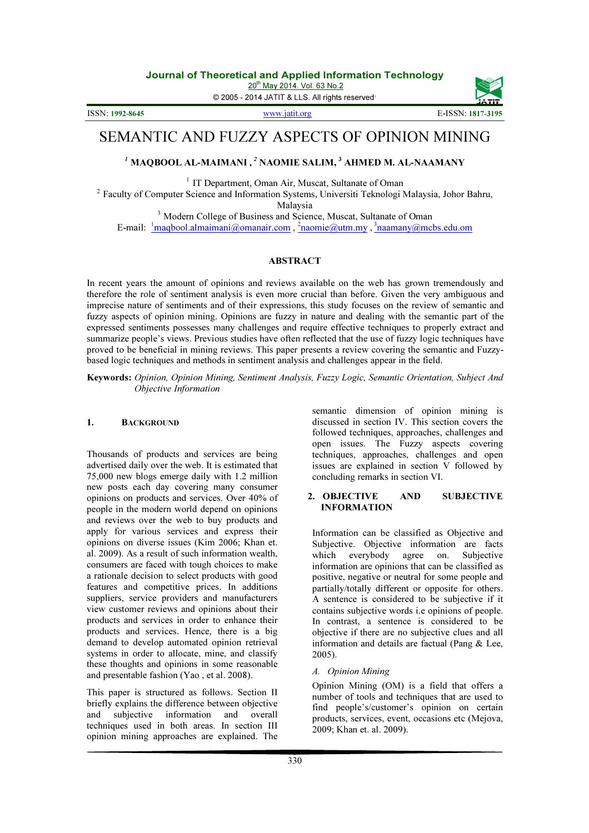20<sup>th</sup> May 2014. Vol. 63 No.2

© 2005 - 2014 JATIT & LLS. All rights reserved.

ISSN: 1992-8645

www.jatit.org E-ISSN: 1817-3195

# SEMANTIC AND FUZZY ASPECTS OF OPINION MINING

# $^I$  MAQBOOL AL-MAIMANI ,  $^2$  NAOMIE SALIM,  $^3$  AHMED M. AL-NAAMANY

<sup>1</sup> IT Department, Oman Air, Muscat, Sultanate of Oman

<sup>2</sup> Faculty of Computer Science and Information Systems, Universiti Teknologi Malaysia, Johor Bahru, Malaysia

<sup>3</sup> Modern College of Business and Science, Muscat, Sultanate of Oman E-mail: <sup>1</sup>maqbool.almaimani@omanair.com, <sup>2</sup>naomie@utm.my, <sup>3</sup>naamany@mcbs.edu.om

#### **ABSTRACT**

In recent years the amount of opinions and reviews available on the web has grown tremendously and therefore the role of sentiment analysis is even more crucial than before. Given the very ambiguous and imprecise nature of sentiments and of their expressions, this study focuses on the review of semantic and fuzzy aspects of opinion mining. Opinions are fuzzy in nature and dealing with the semantic part of the expressed sentiments possesses many challenges and require effective techniques to properly extract and summarize people's views. Previous studies have often reflected that the use of fuzzy logic techniques have proved to be beneficial in mining reviews. This paper presents a review covering the semantic and Fuzzybased logic techniques and methods in sentiment analysis and challenges appear in the field.

Keywords: Opinion, Opinion Mining, Sentiment Analysis, Fuzzy Logic, Semantic Orientation, Subject And Objective Information

### 1. BACKGROUND

Thousands of products and services are being advertised daily over the web. It is estimated that 75,000 new blogs emerge daily with 1.2 million new posts each day covering many consumer opinions on products and services. Over 40% of people in the modern world depend on opinions and reviews over the web to buy products and apply for various services and express their opinions on diverse issues (Kim 2006; Khan et. al. 2009). As a result of such information wealth, consumers are faced with tough choices to make a rationale decision to select products with good features and competitive prices. In additions suppliers, service providers and manufacturers view customer reviews and opinions about their products and services in order to enhance their products and services. Hence, there is a big demand to develop automated opinion retrieval systems in order to allocate, mine, and classify these thoughts and opinions in some reasonable and presentable fashion (Yao , et al. 2008).

This paper is structured as follows. Section II briefly explains the difference between objective and subjective information and overall techniques used in both areas. In section III opinion mining approaches are explained. The

semantic dimension of opinion mining is discussed in section IV. This section covers the followed techniques, approaches, challenges and open issues. The Fuzzy aspects covering techniques, approaches, challenges and open issues are explained in section V followed by concluding remarks in section VI.

#### 2. OBJECTIVE AND SUBJECTIVE INFORMATION

Information can be classified as Objective and Subjective. Objective information are facts which everybody agree on. Subjective information are opinions that can be classified as positive, negative or neutral for some people and partially/totally different or opposite for others. A sentence is considered to be subjective if it contains subjective words i.e opinions of people. In contrast, a sentence is considered to be objective if there are no subjective clues and all information and details are factual (Pang & Lee, 2005).

#### A. Opinion Mining

Opinion Mining (OM) is a field that offers a number of tools and techniques that are used to find people's/customer's opinion on certain products, services, event, occasions etc (Mejova, 2009; Khan et. al. 2009).

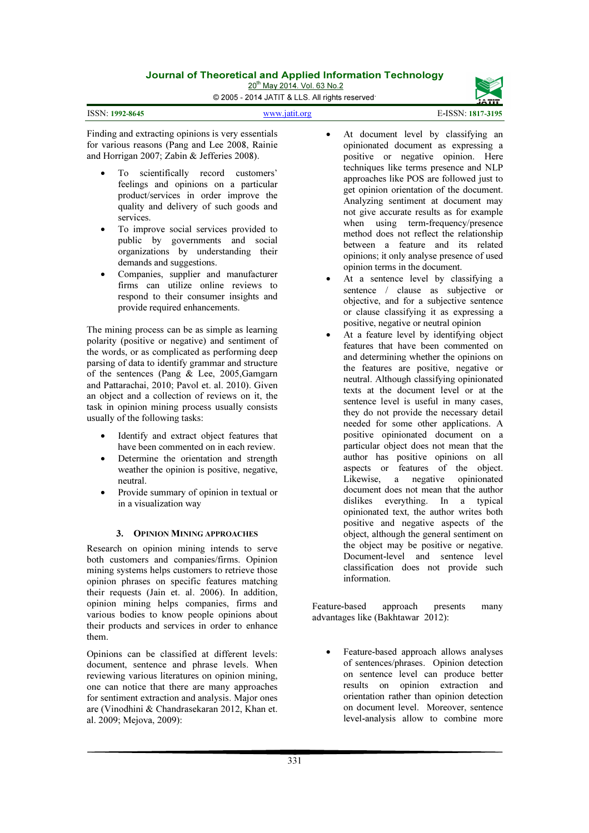20<sup>th</sup> May 2014. Vol. 63 No.2 © 2005 - 2014 JATIT & LLS. All rights reserved.



| ISSN: 1992-8645 | <b>WWW.18</b> |
|-----------------|---------------|
|                 |               |

Finding and extracting opinions is very essentials for various reasons (Pang and Lee 2008, Rainie and Horrigan 2007; Zabin & Jefferies 2008).

- To scientifically record customers' feelings and opinions on a particular product/services in order improve the quality and delivery of such goods and services.
- To improve social services provided to public by governments and social organizations by understanding their demands and suggestions.
- Companies, supplier and manufacturer firms can utilize online reviews to respond to their consumer insights and provide required enhancements.

The mining process can be as simple as learning polarity (positive or negative) and sentiment of the words, or as complicated as performing deep parsing of data to identify grammar and structure of the sentences (Pang & Lee, 2005,Gamgarn and Pattarachai, 2010; Pavol et. al. 2010). Given an object and a collection of reviews on it, the task in opinion mining process usually consists usually of the following tasks:

- Identify and extract object features that have been commented on in each review.
- Determine the orientation and strength weather the opinion is positive, negative, neutral.
- Provide summary of opinion in textual or in a visualization way

### 3. OPINION MINING APPROACHES

Research on opinion mining intends to serve both customers and companies/firms. Opinion mining systems helps customers to retrieve those opinion phrases on specific features matching their requests (Jain et. al. 2006). In addition, opinion mining helps companies, firms and various bodies to know people opinions about their products and services in order to enhance them.

Opinions can be classified at different levels: document, sentence and phrase levels. When reviewing various literatures on opinion mining, one can notice that there are many approaches for sentiment extraction and analysis. Major ones are (Vinodhini & Chandrasekaran 2012, Khan et. al. 2009; Mejova, 2009):

- At document level by classifying an opinionated document as expressing a positive or negative opinion. Here techniques like terms presence and NLP approaches like POS are followed just to get opinion orientation of the document. Analyzing sentiment at document may not give accurate results as for example when using term-frequency/presence method does not reflect the relationship between a feature and its related opinions; it only analyse presence of used opinion terms in the document.
- At a sentence level by classifying a sentence / clause as subjective or objective, and for a subjective sentence or clause classifying it as expressing a positive, negative or neutral opinion
- At a feature level by identifying object features that have been commented on and determining whether the opinions on the features are positive, negative or neutral. Although classifying opinionated texts at the document level or at the sentence level is useful in many cases, they do not provide the necessary detail needed for some other applications. A positive opinionated document on a particular object does not mean that the author has positive opinions on all aspects or features of the object.<br>Likewise, a negative opinionated Likewise, a negative document does not mean that the author dislikes everything. In a typical opinionated text, the author writes both positive and negative aspects of the object, although the general sentiment on the object may be positive or negative. Document-level and sentence level classification does not provide such information.

Feature-based approach presents many advantages like (Bakhtawar 2012):

• Feature-based approach allows analyses of sentences/phrases. Opinion detection on sentence level can produce better results on opinion extraction and orientation rather than opinion detection on document level. Moreover, sentence level-analysis allow to combine more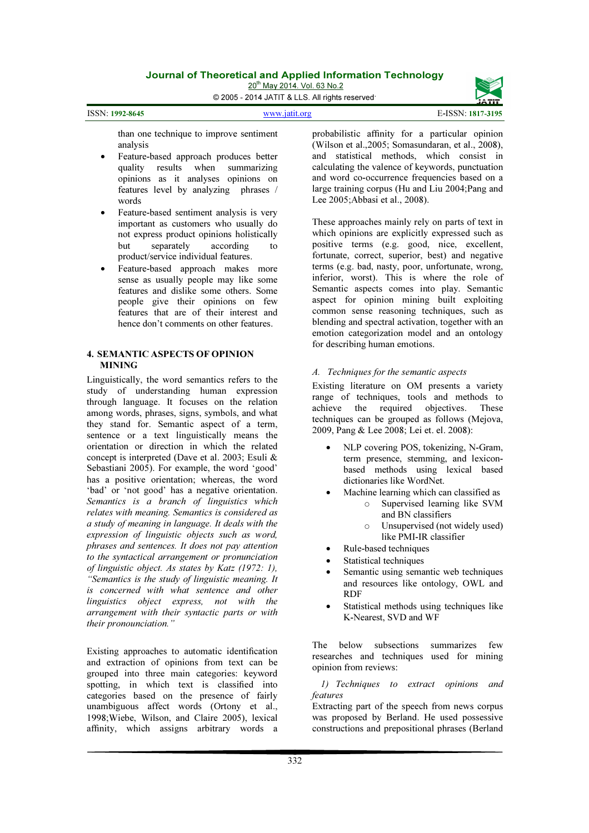20<sup>th</sup> May 2014. Vol. 63 No.2 © 2005 - 2014 JATIT & LLS. All rights reserved.



www.jatit.org E-ISSN: 1817-3195

than one technique to improve sentiment analysis

ISSN: 1992-8645

- Feature-based approach produces better quality results when summarizing opinions as it analyses opinions on features level by analyzing phrases / words
- Feature-based sentiment analysis is very important as customers who usually do not express product opinions holistically<br>but separately according to but separately according to product/service individual features.
- Feature-based approach makes more sense as usually people may like some features and dislike some others. Some people give their opinions on few features that are of their interest and hence don't comments on other features.

#### 4. SEMANTIC ASPECTS OF OPINION **MINING**

Linguistically, the word semantics refers to the study of understanding human expression through language. It focuses on the relation among words, phrases, signs, symbols, and what they stand for. Semantic aspect of a term, sentence or a text linguistically means the orientation or direction in which the related concept is interpreted (Dave et al. 2003; Esuli & Sebastiani 2005). For example, the word 'good' has a positive orientation; whereas, the word 'bad' or 'not good' has a negative orientation. Semantics is a branch of linguistics which relates with meaning. Semantics is considered as a study of meaning in language. It deals with the expression of linguistic objects such as word, phrases and sentences. It does not pay attention to the syntactical arrangement or pronunciation of linguistic object. As states by Katz (1972: 1), "Semantics is the study of linguistic meaning. It is concerned with what sentence and other linguistics object express, not with the arrangement with their syntactic parts or with their pronounciation."

Existing approaches to automatic identification and extraction of opinions from text can be grouped into three main categories: keyword spotting, in which text is classified into categories based on the presence of fairly unambiguous affect words (Ortony et al., 1998;Wiebe, Wilson, and Claire 2005), lexical affinity, which assigns arbitrary words a

probabilistic affinity for a particular opinion (Wilson et al.,2005; Somasundaran, et al., 2008), and statistical methods, which consist in calculating the valence of keywords, punctuation and word co-occurrence frequencies based on a large training corpus (Hu and Liu 2004;Pang and Lee 2005;Abbasi et al., 2008).

These approaches mainly rely on parts of text in which opinions are explicitly expressed such as positive terms (e.g. good, nice, excellent, fortunate, correct, superior, best) and negative terms (e.g. bad, nasty, poor, unfortunate, wrong, inferior, worst). This is where the role of Semantic aspects comes into play. Semantic aspect for opinion mining built exploiting common sense reasoning techniques, such as blending and spectral activation, together with an emotion categorization model and an ontology for describing human emotions.

# A. Techniques for the semantic aspects

Existing literature on OM presents a variety range of techniques, tools and methods to achieve the required objectives. These techniques can be grouped as follows (Mejova, 2009, Pang & Lee 2008; Lei et. el. 2008):

- NLP covering POS, tokenizing, N-Gram, term presence, stemming, and lexiconbased methods using lexical based dictionaries like WordNet.
- Machine learning which can classified as
	- o Supervised learning like SVM and BN classifiers
	- o Unsupervised (not widely used) like PMI-IR classifier
- Rule-based techniques
- Statistical techniques
- Semantic using semantic web techniques and resources like ontology, OWL and RDF
- Statistical methods using techniques like K-Nearest, SVD and WF

The below subsections summarizes few researches and techniques used for mining opinion from reviews:

1) Techniques to extract opinions and features

Extracting part of the speech from news corpus was proposed by Berland. He used possessive constructions and prepositional phrases (Berland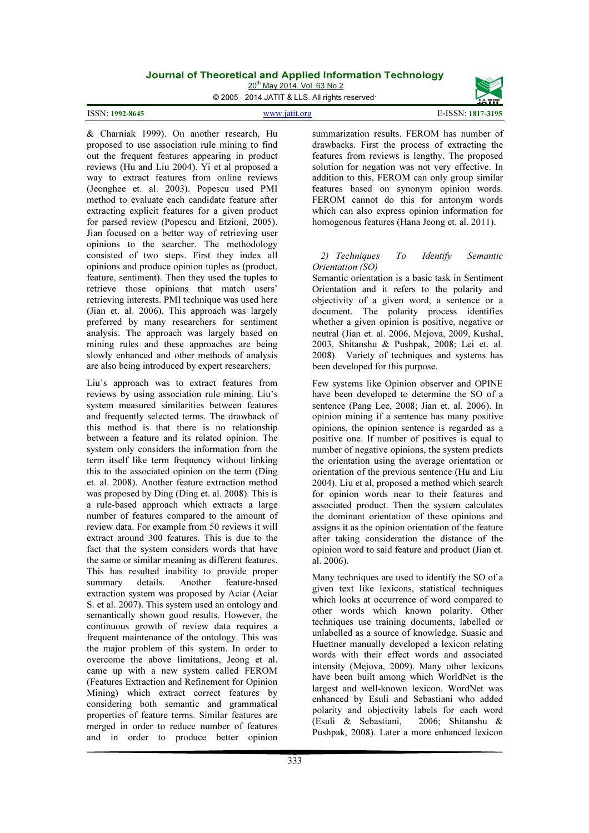20<sup>th</sup> May 2014. Vol. 63 No.2

© 2005 - 2014 JATIT & LLS. All rights reserved.

#### ISSN: 1992-8645

www.jatit.org E-ISSN: 1817-3195

& Charniak 1999). On another research, Hu proposed to use association rule mining to find out the frequent features appearing in product reviews (Hu and Liu 2004). Yi et al proposed a way to extract features from online reviews (Jeonghee et. al. 2003). Popescu used PMI method to evaluate each candidate feature after extracting explicit features for a given product for parsed review (Popescu and Etzioni, 2005). Jian focused on a better way of retrieving user opinions to the searcher. The methodology consisted of two steps. First they index all opinions and produce opinion tuples as (product, feature, sentiment). Then they used the tuples to retrieve those opinions that match users' retrieving interests. PMI technique was used here (Jian et. al. 2006). This approach was largely preferred by many researchers for sentiment analysis. The approach was largely based on mining rules and these approaches are being slowly enhanced and other methods of analysis are also being introduced by expert researchers.

Liu's approach was to extract features from reviews by using association rule mining. Liu's system measured similarities between features and frequently selected terms. The drawback of this method is that there is no relationship between a feature and its related opinion. The system only considers the information from the term itself like term frequency without linking this to the associated opinion on the term (Ding et. al. 2008). Another feature extraction method was proposed by Ding (Ding et. al. 2008). This is a rule-based approach which extracts a large number of features compared to the amount of review data. For example from 50 reviews it will extract around 300 features. This is due to the fact that the system considers words that have the same or similar meaning as different features. This has resulted inability to provide proper summary details. Another feature-based extraction system was proposed by Aciar (Aciar S. et al. 2007). This system used an ontology and semantically shown good results. However, the continuous growth of review data requires a frequent maintenance of the ontology. This was the major problem of this system. In order to overcome the above limitations, Jeong et al. came up with a new system called FEROM (Features Extraction and Refinement for Opinion Mining) which extract correct features by considering both semantic and grammatical properties of feature terms. Similar features are merged in order to reduce number of features and in order to produce better opinion

summarization results. FEROM has number of drawbacks. First the process of extracting the features from reviews is lengthy. The proposed solution for negation was not very effective. In addition to this, FEROM can only group similar features based on synonym opinion words. FEROM cannot do this for antonym words which can also express opinion information for homogenous features (Hana Jeong et. al. 2011).

#### 2) Techniques To Identify Semantic Orientation (SO)

Semantic orientation is a basic task in Sentiment Orientation and it refers to the polarity and objectivity of a given word, a sentence or a document. The polarity process identifies whether a given opinion is positive, negative or neutral (Jian et. al. 2006, Mejova, 2009, Kushal, 2003, Shitanshu & Pushpak, 2008; Lei et. al. 2008). Variety of techniques and systems has been developed for this purpose.

Few systems like Opinion observer and OPINE have been developed to determine the SO of a sentence (Pang Lee, 2008; Jian et. al. 2006). In opinion mining if a sentence has many positive opinions, the opinion sentence is regarded as a positive one. If number of positives is equal to number of negative opinions, the system predicts the orientation using the average orientation or orientation of the previous sentence (Hu and Liu 2004). Liu et al, proposed a method which search for opinion words near to their features and associated product. Then the system calculates the dominant orientation of these opinions and assigns it as the opinion orientation of the feature after taking consideration the distance of the opinion word to said feature and product (Jian et. al. 2006).

Many techniques are used to identify the SO of a given text like lexicons, statistical techniques which looks at occurrence of word compared to other words which known polarity. Other techniques use training documents, labelled or unlabelled as a source of knowledge. Suasic and Huettner manually developed a lexicon relating words with their effect words and associated intensity (Mejova, 2009). Many other lexicons have been built among which WorldNet is the largest and well-known lexicon. WordNet was enhanced by Esuli and Sebastiani who added polarity and objectivity labels for each word<br>(Esuli & Sebastiani. 2006: Shitanshu &  $(Esuli & Sebastiani.$ Pushpak, 2008). Later a more enhanced lexicon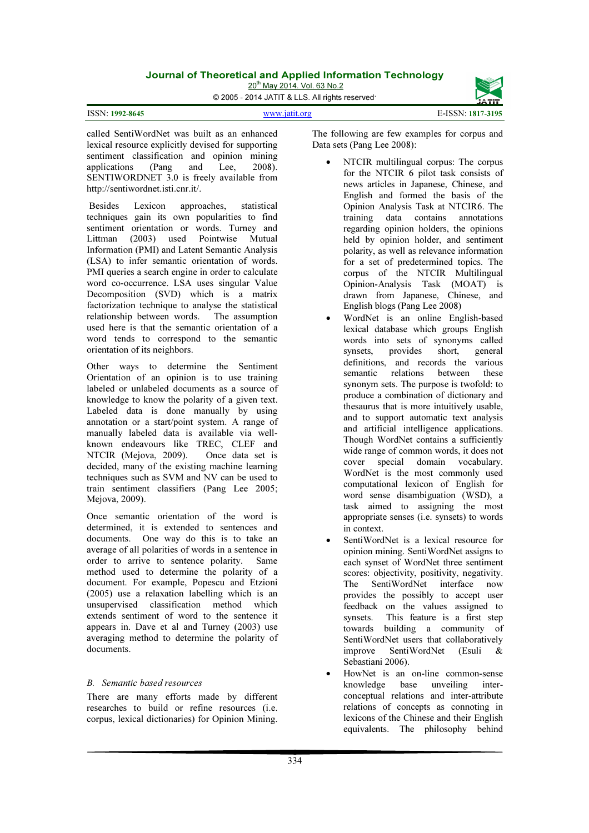20<sup>th</sup> May 2014. Vol. 63 No.2

© 2005 - 2014 JATIT & LLS. All rights reserved.

| <b>ISSN: 1992-8645</b> |
|------------------------|
|                        |

www.jatit.org E-ISSN: 1817-3195



called SentiWordNet was built as an enhanced lexical resource explicitly devised for supporting sentiment classification and opinion mining<br>applications (Pang and Lee, 2008). applications (Pang and Lee, 2008). SENTIWORDNET 3.0 is freely available from http://sentiwordnet.isti.cnr.it/.

 Besides Lexicon approaches, statistical techniques gain its own popularities to find sentiment orientation or words. Turney and<br>Littman (2003) used Pointwise Mutual Littman (2003) used Pointwise Mutual Information (PMI) and Latent Semantic Analysis (LSA) to infer semantic orientation of words. PMI queries a search engine in order to calculate word co-occurrence. LSA uses singular Value Decomposition (SVD) which is a matrix factorization technique to analyse the statistical relationship between words. The assumption used here is that the semantic orientation of a word tends to correspond to the semantic orientation of its neighbors.

Other ways to determine the Sentiment Orientation of an opinion is to use training labeled or unlabeled documents as a source of knowledge to know the polarity of a given text. Labeled data is done manually by using annotation or a start/point system. A range of manually labeled data is available via wellknown endeavours like TREC, CLEF and NTCIR (Mejova, 2009). Once data set is decided, many of the existing machine learning techniques such as SVM and NV can be used to train sentiment classifiers (Pang Lee 2005; Mejova, 2009).

Once semantic orientation of the word is determined, it is extended to sentences and documents. One way do this is to take an average of all polarities of words in a sentence in order to arrive to sentence polarity. Same method used to determine the polarity of a document. For example, Popescu and Etzioni (2005) use a relaxation labelling which is an unsupervised classification method which extends sentiment of word to the sentence it appears in. Dave et al and Turney (2003) use averaging method to determine the polarity of documents.

### B. Semantic based resources

There are many efforts made by different researches to build or refine resources (i.e. corpus, lexical dictionaries) for Opinion Mining.

The following are few examples for corpus and Data sets (Pang Lee 2008):

- NTCIR multilingual corpus: The corpus for the NTCIR 6 pilot task consists of news articles in Japanese, Chinese, and English and formed the basis of the Opinion Analysis Task at NTCIR6. The training data contains annotations regarding opinion holders, the opinions held by opinion holder, and sentiment polarity, as well as relevance information for a set of predetermined topics. The corpus of the NTCIR Multilingual Opinion-Analysis Task (MOAT) is drawn from Japanese, Chinese, and English blogs (Pang Lee 2008)
- WordNet is an online English-based lexical database which groups English words into sets of synonyms called<br>synsets, provides short, general provides short, general definitions, and records the various<br>semantic relations between these semantic relations between synonym sets. The purpose is twofold: to produce a combination of dictionary and thesaurus that is more intuitively usable, and to support automatic text analysis and artificial intelligence applications. Though WordNet contains a sufficiently wide range of common words, it does not<br>cover special domain vocabulary. special domain vocabulary. WordNet is the most commonly used computational lexicon of English for word sense disambiguation (WSD), a task aimed to assigning the most appropriate senses (i.e. synsets) to words in context.
- SentiWordNet is a lexical resource for opinion mining. SentiWordNet assigns to each synset of WordNet three sentiment scores: objectivity, positivity, negativity. The SentiWordNet interface now provides the possibly to accept user feedback on the values assigned to synsets. This feature is a first step towards building a community of SentiWordNet users that collaboratively improve SentiWordNet (Esuli & Sebastiani 2006).
- HowNet is an on-line common-sense knowledge base unveiling interconceptual relations and inter-attribute relations of concepts as connoting in lexicons of the Chinese and their English equivalents. The philosophy behind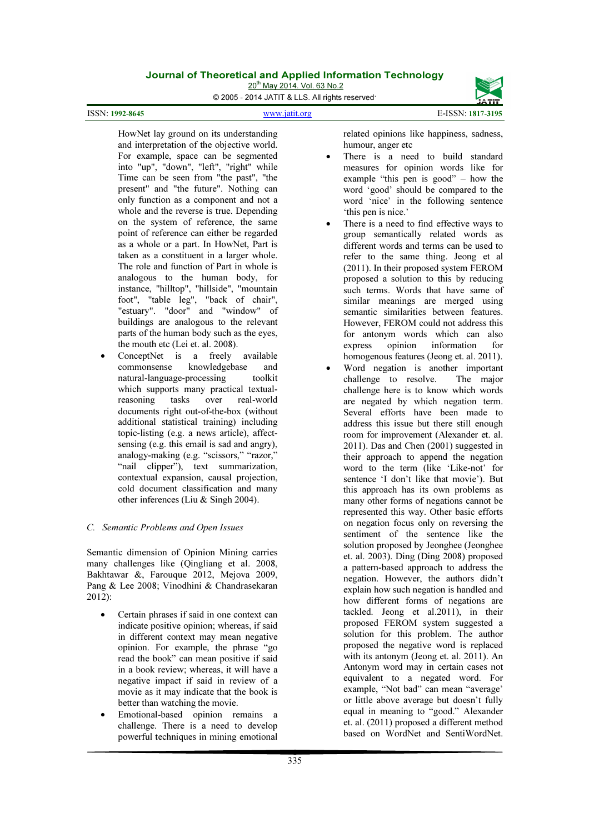20<sup>th</sup> May 2014. Vol. 63 No.2 © 2005 - 2014 JATIT & LLS. All rights reserved.

ISSN: 1992-8645

#### www.jatit.org E-ISSN: 1817-3195

HowNet lay ground on its understanding and interpretation of the objective world. For example, space can be segmented into "up", "down", "left", "right" while Time can be seen from "the past", "the present" and "the future". Nothing can only function as a component and not a whole and the reverse is true. Depending on the system of reference, the same point of reference can either be regarded as a whole or a part. In HowNet, Part is taken as a constituent in a larger whole. The role and function of Part in whole is analogous to the human body, for instance, "hilltop", "hillside", "mountain foot", "table leg", "back of chair", "estuary". "door" and "window" of buildings are analogous to the relevant parts of the human body such as the eyes, the mouth etc (Lei et. al. 2008).

ConceptNet is a freely available commonsense knowledgebase and natural-language-processing toolkit which supports many practical textualreasoning tasks over real-world documents right out-of-the-box (without additional statistical training) including topic-listing (e.g. a news article), affectsensing (e.g. this email is sad and angry), analogy-making (e.g. "scissors," "razor," "nail clipper"), text summarization, contextual expansion, causal projection, cold document classification and many other inferences (Liu & Singh 2004).

### C. Semantic Problems and Open Issues

Semantic dimension of Opinion Mining carries many challenges like (Qingliang et al. 2008, Bakhtawar &, Farouque 2012, Mejova 2009, Pang & Lee 2008; Vinodhini & Chandrasekaran 2012):

- Certain phrases if said in one context can indicate positive opinion; whereas, if said in different context may mean negative opinion. For example, the phrase "go read the book" can mean positive if said in a book review; whereas, it will have a negative impact if said in review of a movie as it may indicate that the book is better than watching the movie.
- Emotional-based opinion remains a challenge. There is a need to develop powerful techniques in mining emotional

related opinions like happiness, sadness, humour, anger etc

- There is a need to build standard measures for opinion words like for example "this pen is good" – how the word 'good' should be compared to the word 'nice' in the following sentence 'this pen is nice.'
- There is a need to find effective ways to group semantically related words as different words and terms can be used to refer to the same thing. Jeong et al (2011). In their proposed system FEROM proposed a solution to this by reducing such terms. Words that have same of similar meanings are merged using semantic similarities between features. However, FEROM could not address this for antonym words which can also<br>express opinion information for information for homogenous features (Jeong et. al. 2011).
- Word negation is another important challenge to resolve. The major challenge here is to know which words are negated by which negation term. Several efforts have been made to address this issue but there still enough room for improvement (Alexander et. al. 2011). Das and Chen (2001) suggested in their approach to append the negation word to the term (like 'Like-not' for sentence 'I don't like that movie'). But this approach has its own problems as many other forms of negations cannot be represented this way. Other basic efforts on negation focus only on reversing the sentiment of the sentence like the solution proposed by Jeonghee (Jeonghee et. al. 2003). Ding (Ding 2008) proposed a pattern-based approach to address the negation. However, the authors didn't explain how such negation is handled and how different forms of negations are tackled. Jeong et al.2011), in their proposed FEROM system suggested a solution for this problem. The author proposed the negative word is replaced with its antonym (Jeong et. al. 2011). An Antonym word may in certain cases not equivalent to a negated word. For example, "Not bad" can mean "average' or little above average but doesn't fully equal in meaning to "good." Alexander et. al. (2011) proposed a different method based on WordNet and SentiWordNet.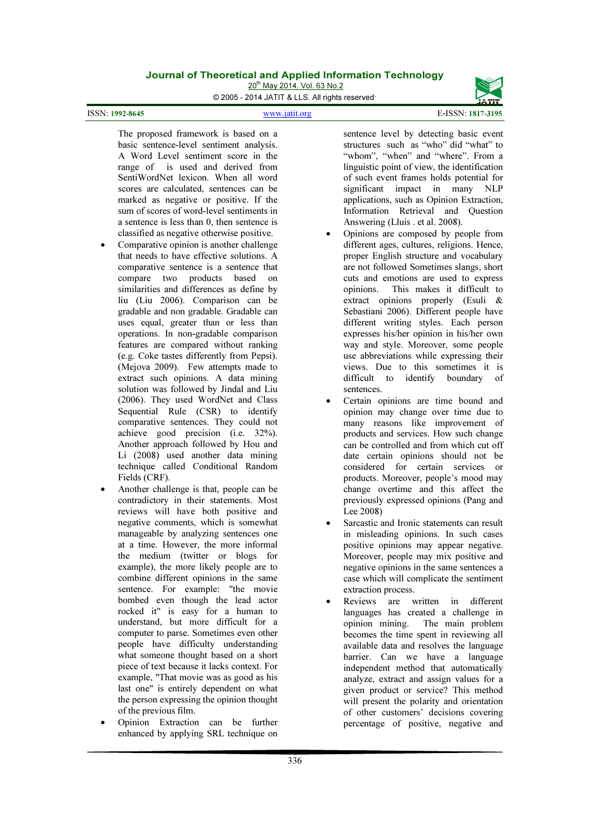20<sup>th</sup> May 2014. Vol. 63 No.2

© 2005 - 2014 JATIT & LLS. All rights reserved.

ISSN: 1992-8645

www.jatit.org E-ISSN: 1817-3195



The proposed framework is based on a basic sentence-level sentiment analysis. A Word Level sentiment score in the range of is used and derived from SentiWordNet lexicon. When all word scores are calculated, sentences can be marked as negative or positive. If the sum of scores of word-level sentiments in a sentence is less than 0, then sentence is classified as negative otherwise positive.

- Comparative opinion is another challenge that needs to have effective solutions. A comparative sentence is a sentence that compare two products based on similarities and differences as define by liu (Liu 2006). Comparison can be gradable and non gradable. Gradable can uses equal, greater than or less than operations. In non-gradable comparison features are compared without ranking (e.g. Coke tastes differently from Pepsi). (Mejova 2009). Few attempts made to extract such opinions. A data mining solution was followed by Jindal and Liu (2006). They used WordNet and Class Sequential Rule (CSR) to identify comparative sentences. They could not achieve good precision (i.e. 32%). Another approach followed by Hou and Li (2008) used another data mining technique called Conditional Random Fields (CRF).
- Another challenge is that, people can be contradictory in their statements. Most reviews will have both positive and negative comments, which is somewhat manageable by analyzing sentences one at a time. However, the more informal the medium (twitter or blogs for example), the more likely people are to combine different opinions in the same sentence. For example: "the movie bombed even though the lead actor rocked it" is easy for a human to understand, but more difficult for a computer to parse. Sometimes even other people have difficulty understanding what someone thought based on a short piece of text because it lacks context. For example, "That movie was as good as his last one" is entirely dependent on what the person expressing the opinion thought of the previous film.
- Opinion Extraction can be further enhanced by applying SRL technique on

sentence level by detecting basic event structures such as "who" did "what" to "whom", "when" and "where". From a linguistic point of view, the identification of such event frames holds potential for significant impact in many NLP applications, such as Opinion Extraction, Information Retrieval and Question Answering (Lluis . et al. 2008).

- Opinions are composed by people from different ages, cultures, religions. Hence, proper English structure and vocabulary are not followed Sometimes slangs, short cuts and emotions are used to express opinions. This makes it difficult to extract opinions properly (Esuli & Sebastiani 2006). Different people have different writing styles. Each person expresses his/her opinion in his/her own way and style. Moreover, some people use abbreviations while expressing their views. Due to this sometimes it is<br>difficult to identify boundary of to identify boundary sentences.
- Certain opinions are time bound and opinion may change over time due to many reasons like improvement of products and services. How such change can be controlled and from which cut off date certain opinions should not be considered for certain services or products. Moreover, people's mood may change overtime and this affect the previously expressed opinions (Pang and Lee 2008)
- Sarcastic and Ironic statements can result in misleading opinions. In such cases positive opinions may appear negative. Moreover, people may mix positive and negative opinions in the same sentences a case which will complicate the sentiment extraction process.
- Reviews are written in different languages has created a challenge in opinion mining. The main problem becomes the time spent in reviewing all available data and resolves the language barrier. Can we have a language independent method that automatically analyze, extract and assign values for a given product or service? This method will present the polarity and orientation of other customers' decisions covering percentage of positive, negative and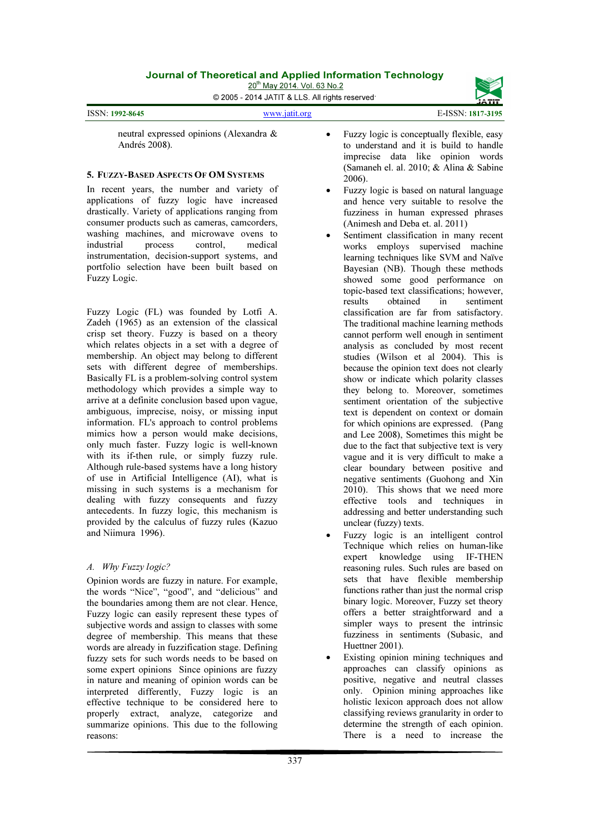20<sup>th</sup> May 2014. Vol. 63 No.2

© 2005 - 2014 JATIT & LLS. All rights reserved.

ISSN: 1992-8645

#### www.jatit.org E-ISSN: 1817-3195



neutral expressed opinions (Alexandra & Andrés 2008).

#### 5. FUZZY-BASED ASPECTS OF OM SYSTEMS

In recent years, the number and variety of applications of fuzzy logic have increased drastically. Variety of applications ranging from consumer products such as cameras, camcorders, washing machines, and microwave ovens to industrial process control, medical instrumentation, decision-support systems, and portfolio selection have been built based on Fuzzy Logic.

Fuzzy Logic (FL) was founded by Lotfi A. Zadeh (1965) as an extension of the classical crisp set theory. Fuzzy is based on a theory which relates objects in a set with a degree of membership. An object may belong to different sets with different degree of memberships. Basically FL is a problem-solving control system methodology which provides a simple way to arrive at a definite conclusion based upon vague, ambiguous, imprecise, noisy, or missing input information. FL's approach to control problems mimics how a person would make decisions, only much faster. Fuzzy logic is well-known with its if-then rule, or simply fuzzy rule. Although rule-based systems have a long history of use in Artificial Intelligence (AI), what is missing in such systems is a mechanism for dealing with fuzzy consequents and fuzzy antecedents. In fuzzy logic, this mechanism is provided by the calculus of fuzzy rules (Kazuo and Niimura 1996).

### A. Why Fuzzy logic?

Opinion words are fuzzy in nature. For example, the words "Nice", "good", and "delicious" and the boundaries among them are not clear. Hence, Fuzzy logic can easily represent these types of subjective words and assign to classes with some degree of membership. This means that these words are already in fuzzification stage. Defining fuzzy sets for such words needs to be based on some expert opinions Since opinions are fuzzy in nature and meaning of opinion words can be interpreted differently, Fuzzy logic is an effective technique to be considered here to properly extract, analyze, categorize and summarize opinions. This due to the following reasons:

- Fuzzy logic is conceptually flexible, easy to understand and it is build to handle imprecise data like opinion words (Samaneh el. al. 2010; & Alina & Sabine 2006).
- Fuzzy logic is based on natural language and hence very suitable to resolve the fuzziness in human expressed phrases (Animesh and Deba et. al. 2011)
- Sentiment classification in many recent works employs supervised machine learning techniques like SVM and Naïve Bayesian (NB). Though these methods showed some good performance on topic-based text classifications; however, results obtained in sentiment classification are far from satisfactory. The traditional machine learning methods cannot perform well enough in sentiment analysis as concluded by most recent studies (Wilson et al 2004). This is because the opinion text does not clearly show or indicate which polarity classes they belong to. Moreover, sometimes sentiment orientation of the subjective text is dependent on context or domain for which opinions are expressed. (Pang and Lee 2008), Sometimes this might be due to the fact that subjective text is very vague and it is very difficult to make a clear boundary between positive and negative sentiments (Guohong and Xin 2010). This shows that we need more effective tools and techniques in addressing and better understanding such unclear (fuzzy) texts.
- Fuzzy logic is an intelligent control Technique which relies on human-like expert knowledge using IF-THEN reasoning rules. Such rules are based on sets that have flexible membership functions rather than just the normal crisp binary logic. Moreover, Fuzzy set theory offers a better straightforward and a simpler ways to present the intrinsic fuzziness in sentiments (Subasic, and Huettner 2001).
- Existing opinion mining techniques and approaches can classify opinions as positive, negative and neutral classes only. Opinion mining approaches like holistic lexicon approach does not allow classifying reviews granularity in order to determine the strength of each opinion. There is a need to increase the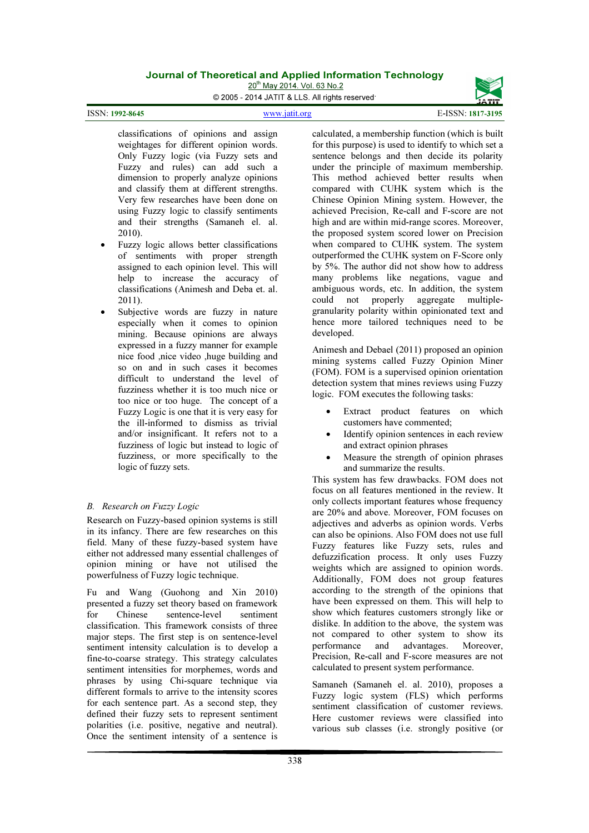20<sup>th</sup> May 2014. Vol. 63 No.2



ISSN: 1992-8645

www.jatit.org E-ISSN: 1817-3195



classifications of opinions and assign weightages for different opinion words. Only Fuzzy logic (via Fuzzy sets and Fuzzy and rules) can add such a dimension to properly analyze opinions and classify them at different strengths. Very few researches have been done on using Fuzzy logic to classify sentiments and their strengths (Samaneh el. al. 2010).

- Fuzzy logic allows better classifications of sentiments with proper strength assigned to each opinion level. This will help to increase the accuracy of classifications (Animesh and Deba et. al. 2011).
- Subjective words are fuzzy in nature especially when it comes to opinion mining. Because opinions are always expressed in a fuzzy manner for example nice food ,nice video ,huge building and so on and in such cases it becomes difficult to understand the level of fuzziness whether it is too much nice or too nice or too huge. The concept of a Fuzzy Logic is one that it is very easy for the ill-informed to dismiss as trivial and/or insignificant. It refers not to a fuzziness of logic but instead to logic of fuzziness, or more specifically to the logic of fuzzy sets.

# B. Research on Fuzzy Logic

Research on Fuzzy-based opinion systems is still in its infancy. There are few researches on this field. Many of these fuzzy-based system have either not addressed many essential challenges of opinion mining or have not utilised the powerfulness of Fuzzy logic technique.

Fu and Wang (Guohong and Xin 2010) presented a fuzzy set theory based on framework<br>for Chinese sentence-level sentiment for Chinese sentence-level sentiment classification. This framework consists of three major steps. The first step is on sentence-level sentiment intensity calculation is to develop a fine-to-coarse strategy. This strategy calculates sentiment intensities for morphemes, words and phrases by using Chi-square technique via different formals to arrive to the intensity scores for each sentence part. As a second step, they defined their fuzzy sets to represent sentiment polarities (i.e. positive, negative and neutral). Once the sentiment intensity of a sentence is

calculated, a membership function (which is built for this purpose) is used to identify to which set a sentence belongs and then decide its polarity under the principle of maximum membership. This method achieved better results when compared with CUHK system which is the Chinese Opinion Mining system. However, the achieved Precision, Re-call and F-score are not high and are within mid-range scores. Moreover, the proposed system scored lower on Precision when compared to CUHK system. The system outperformed the CUHK system on F-Score only by 5%. The author did not show how to address many problems like negations, vague and ambiguous words, etc. In addition, the system could not properly aggregate multiplegranularity polarity within opinionated text and hence more tailored techniques need to be developed.

Animesh and Debael (2011) proposed an opinion mining systems called Fuzzy Opinion Miner (FOM). FOM is a supervised opinion orientation detection system that mines reviews using Fuzzy logic. FOM executes the following tasks:

- Extract product features on which customers have commented;
- Identify opinion sentences in each review and extract opinion phrases
- Measure the strength of opinion phrases and summarize the results.

This system has few drawbacks. FOM does not focus on all features mentioned in the review. It only collects important features whose frequency are 20% and above. Moreover, FOM focuses on adjectives and adverbs as opinion words. Verbs can also be opinions. Also FOM does not use full Fuzzy features like Fuzzy sets, rules and defuzzification process. It only uses Fuzzy weights which are assigned to opinion words. Additionally, FOM does not group features according to the strength of the opinions that have been expressed on them. This will help to show which features customers strongly like or dislike. In addition to the above, the system was not compared to other system to show its<br>performance and advantages. Moreover, performance and Precision, Re-call and F-score measures are not calculated to present system performance.

Samaneh (Samaneh el. al. 2010), proposes a Fuzzy logic system (FLS) which performs sentiment classification of customer reviews. Here customer reviews were classified into various sub classes (i.e. strongly positive (or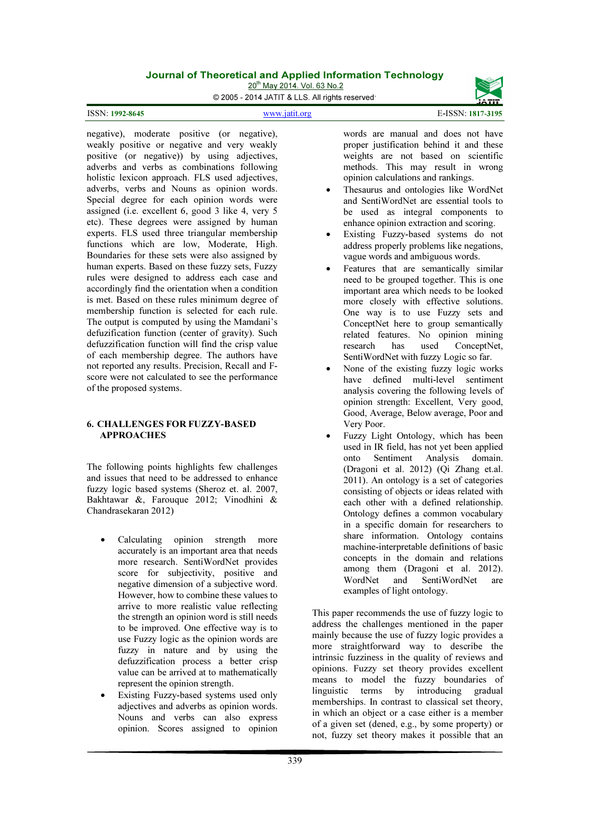20<sup>th</sup> May 2014. Vol. 63 No.2

© 2005 - 2014 JATIT & LLS. All rights reserved.

www.jatit.org E-ISSN: 1817-3195

negative), moderate positive (or negative), weakly positive or negative and very weakly positive (or negative)) by using adjectives, adverbs and verbs as combinations following holistic lexicon approach. FLS used adjectives, adverbs, verbs and Nouns as opinion words. Special degree for each opinion words were assigned (i.e. excellent 6, good 3 like 4, very 5 etc). These degrees were assigned by human experts. FLS used three triangular membership functions which are low, Moderate, High. Boundaries for these sets were also assigned by human experts. Based on these fuzzy sets, Fuzzy rules were designed to address each case and accordingly find the orientation when a condition is met. Based on these rules minimum degree of membership function is selected for each rule. The output is computed by using the Mamdani's defuzification function (center of gravity). Such defuzzification function will find the crisp value of each membership degree. The authors have not reported any results. Precision, Recall and Fscore were not calculated to see the performance of the proposed systems.

#### 6. CHALLENGES FOR FUZZY-BASED APPROACHES

The following points highlights few challenges and issues that need to be addressed to enhance fuzzy logic based systems (Sheroz et. al. 2007, Bakhtawar &, Farouque 2012; Vinodhini & Chandrasekaran 2012)

- Calculating opinion strength more accurately is an important area that needs more research. SentiWordNet provides score for subjectivity, positive and negative dimension of a subjective word. However, how to combine these values to arrive to more realistic value reflecting the strength an opinion word is still needs to be improved. One effective way is to use Fuzzy logic as the opinion words are fuzzy in nature and by using the defuzzification process a better crisp value can be arrived at to mathematically represent the opinion strength.
- Existing Fuzzy-based systems used only adjectives and adverbs as opinion words. Nouns and verbs can also express opinion. Scores assigned to opinion

words are manual and does not have proper justification behind it and these weights are not based on scientific methods. This may result in wrong opinion calculations and rankings.

- Thesaurus and ontologies like WordNet and SentiWordNet are essential tools to be used as integral components to enhance opinion extraction and scoring.
- Existing Fuzzy-based systems do not address properly problems like negations, vague words and ambiguous words.
- Features that are semantically similar need to be grouped together. This is one important area which needs to be looked more closely with effective solutions. One way is to use Fuzzy sets and ConceptNet here to group semantically related features. No opinion mining research has used ConceptNet, SentiWordNet with fuzzy Logic so far.
- None of the existing fuzzy logic works have defined multi-level sentiment analysis covering the following levels of opinion strength: Excellent, Very good, Good, Average, Below average, Poor and Very Poor.
- Fuzzy Light Ontology, which has been used in IR field, has not yet been applied onto Sentiment Analysis domain. (Dragoni et al. 2012) (Qi Zhang et.al. 2011). An ontology is a set of categories consisting of objects or ideas related with each other with a defined relationship. Ontology defines a common vocabulary in a specific domain for researchers to share information. Ontology contains machine-interpretable definitions of basic concepts in the domain and relations among them (Dragoni et al. 2012). WordNet and SentiWordNet are examples of light ontology.

This paper recommends the use of fuzzy logic to address the challenges mentioned in the paper mainly because the use of fuzzy logic provides a more straightforward way to describe the intrinsic fuzziness in the quality of reviews and opinions. Fuzzy set theory provides excellent means to model the fuzzy boundaries of linguistic terms by introducing gradual memberships. In contrast to classical set theory, in which an object or a case either is a member of a given set (dened, e.g., by some property) or not, fuzzy set theory makes it possible that an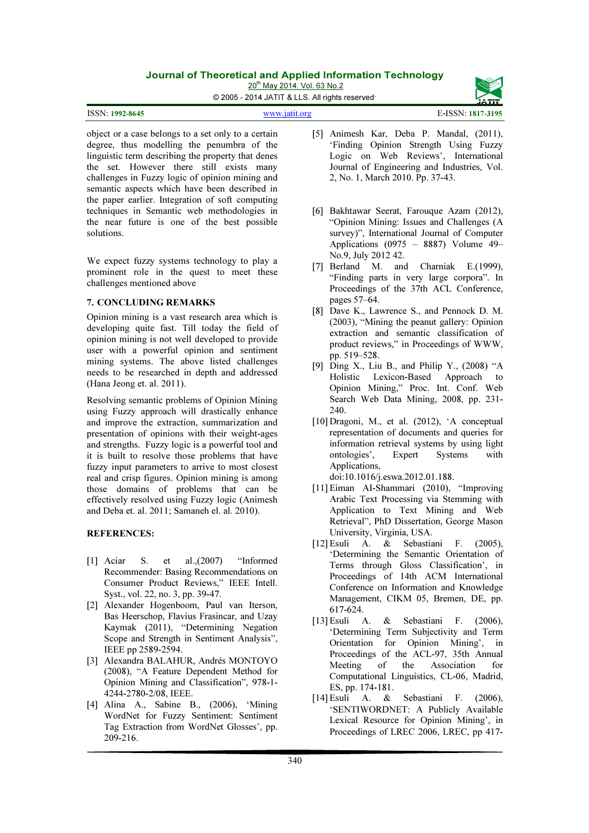20<sup>th</sup> May 2014. Vol. 63 No.2

© 2005 - 2014 JATIT & LLS. All rights reserved.

| <b>ISSN: 1992-8645</b> | www.jatit.org | E-ISSN: 1817-3195 |
|------------------------|---------------|-------------------|
|                        |               |                   |

object or a case belongs to a set only to a certain degree, thus modelling the penumbra of the linguistic term describing the property that denes the set. However there still exists many challenges in Fuzzy logic of opinion mining and semantic aspects which have been described in the paper earlier. Integration of soft computing techniques in Semantic web methodologies in the near future is one of the best possible solutions.

We expect fuzzy systems technology to play a prominent role in the quest to meet these challenges mentioned above

#### 7. CONCLUDING REMARKS

Opinion mining is a vast research area which is developing quite fast. Till today the field of opinion mining is not well developed to provide user with a powerful opinion and sentiment mining systems. The above listed challenges needs to be researched in depth and addressed (Hana Jeong et. al. 2011).

Resolving semantic problems of Opinion Mining using Fuzzy approach will drastically enhance and improve the extraction, summarization and presentation of opinions with their weight-ages and strengths. Fuzzy logic is a powerful tool and it is built to resolve those problems that have fuzzy input parameters to arrive to most closest real and crisp figures. Opinion mining is among those domains of problems that can be effectively resolved using Fuzzy logic (Animesh and Deba et. al. 2011; Samaneh el. al. 2010).

#### REFERENCES:

- [1] Aciar S. et al.,(2007) "Informed Recommender: Basing Recommendations on Consumer Product Reviews," IEEE Intell. Syst., vol. 22, no. 3, pp. 39-47.
- [2] Alexander Hogenboom, Paul van Iterson, Bas Heerschop, Flavius Frasincar, and Uzay Kaymak (2011), "Determining Negation Scope and Strength in Sentiment Analysis", IEEE pp 2589-2594.
- [3] Alexandra BALAHUR, Andrés MONTOYO (2008), "A Feature Dependent Method for Opinion Mining and Classification", 978-1- 4244-2780-2/08, IEEE.
- [4] Alina A., Sabine B., (2006), 'Mining WordNet for Fuzzy Sentiment: Sentiment Tag Extraction from WordNet Glosses', pp. 209-216.
- [5] Animesh Kar, Deba P. Mandal, (2011), 'Finding Opinion Strength Using Fuzzy Logic on Web Reviews', International Journal of Engineering and Industries, Vol. 2, No. 1, March 2010. Pp. 37-43.
- [6] Bakhtawar Seerat, Farouque Azam (2012), "Opinion Mining: Issues and Challenges (A survey)", International Journal of Computer Applications (0975 – 8887) Volume 49– No.9, July 2012 42.
- [7] Berland M. and Charniak E.(1999), "Finding parts in very large corpora". In Proceedings of the 37th ACL Conference, pages 57–64.
- [8] Dave K., Lawrence S., and Pennock D. M. (2003), "Mining the peanut gallery: Opinion extraction and semantic classification of product reviews," in Proceedings of WWW, pp. 519–528.
- [9] Ding X., Liu B., and Philip Y., (2008) "A Holistic Lexicon-Based Approach to Opinion Mining," Proc. Int. Conf. Web Search Web Data Mining, 2008, pp. 231- 240.
- [10] Dragoni, M., et al. (2012), 'A conceptual representation of documents and queries for information retrieval systems by using light ontologies', Expert Systems with Applications,

doi:10.1016/j.eswa.2012.01.188.

- [11]Eiman AI-Shammari (2010), "Improving Arabic Text Processing via Stemming with Application to Text Mining and Web Retrieval", PhD Dissertation, George Mason University, Virginia, USA.
- [12]Esuli A. & Sebastiani F. (2005), 'Determining the Semantic Orientation of Terms through Gloss Classification', in Proceedings of 14th ACM International Conference on Information and Knowledge Management, CIKM 05, Bremen, DE, pp. 617-624.
- [13]Esuli A. & Sebastiani F. (2006), 'Determining Term Subjectivity and Term Orientation for Opinion Mining', in Proceedings of the ACL-97, 35th Annual Meeting of the Association for Computational Linguistics, CL-06, Madrid, ES, pp. 174-181.
- [14]Esuli A. & Sebastiani F. (2006), 'SENTIWORDNET: A Publicly Available Lexical Resource for Opinion Mining', in Proceedings of LREC 2006, LREC, pp 417-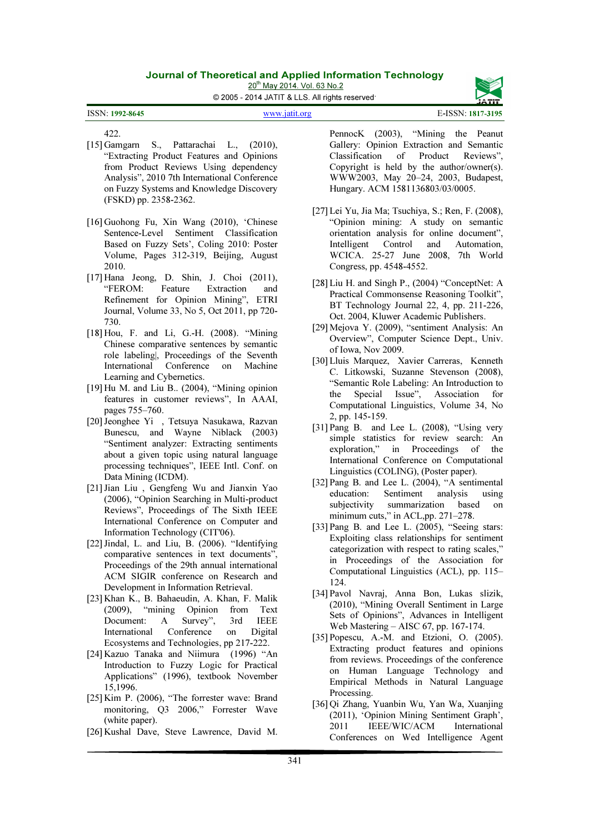20<sup>th</sup> May 2014. Vol. 63 No.2

© 2005 - 2014 JATIT & LLS. All rights reserved.

www.jatit.org E-ISSN: 1817-3195 ISSN: 1992-8645

422.

- [15] Gamgarn S., Pattarachai L., (2010), "Extracting Product Features and Opinions from Product Reviews Using dependency Analysis", 2010 7th International Conference on Fuzzy Systems and Knowledge Discovery (FSKD) pp. 2358-2362.
- [16] Guohong Fu, Xin Wang (2010), 'Chinese Sentence-Level Sentiment Classification Based on Fuzzy Sets', Coling 2010: Poster Volume, Pages 312-319, Beijing, August 2010.
- [17] Hana Jeong, D. Shin, J. Choi (2011), "FEROM: Feature Extraction and Refinement for Opinion Mining", ETRI Journal, Volume 33, No 5, Oct 2011, pp 720- 730.
- [18] Hou, F. and Li, G.-H. (2008). "Mining Chinese comparative sentences by semantic role labeling|, Proceedings of the Seventh International Conference on Machine Learning and Cybernetics.
- [19] Hu M. and Liu B.. (2004), "Mining opinion features in customer reviews", In AAAI, pages 755–760.
- [20]Jeonghee Yi , Tetsuya Nasukawa, Razvan Bunescu, and Wayne Niblack (2003) "Sentiment analyzer: Extracting sentiments about a given topic using natural language processing techniques", IEEE Intl. Conf. on Data Mining (ICDM).
- [21]Jian Liu , Gengfeng Wu and Jianxin Yao (2006), "Opinion Searching in Multi-product Reviews", Proceedings of The Sixth IEEE International Conference on Computer and Information Technology (CIT'06).
- [22] Jindal, L. and Liu, B. (2006). "Identifying comparative sentences in text documents", Proceedings of the 29th annual international ACM SIGIR conference on Research and Development in Information Retrieval.
- [23] Khan K., B. Bahaeudin, A. Khan, F. Malik (2009), "mining Opinion from Text Document: A Survey", 3rd IEEE International Conference on Digital Ecosystems and Technologies, pp 217-222.
- [24] Kazuo Tanaka and Niimura (1996) "An Introduction to Fuzzy Logic for Practical Applications" (1996), textbook November 15,1996.
- [25] Kim P. (2006), "The forrester wave: Brand monitoring, Q3 2006," Forrester Wave (white paper).
- [26] Kushal Dave, Steve Lawrence, David M.

PennocK (2003), "Mining the Peanut Gallery: Opinion Extraction and Semantic Classification of Product Reviews", Copyright is held by the author/owner(s). WWW2003, May 20–24, 2003, Budapest, Hungary. ACM 1581136803/03/0005.

- [27]Lei Yu, Jia Ma; Tsuchiya, S.; Ren, F. (2008), "Opinion mining: A study on semantic orientation analysis for online document", Intelligent Control and Automation, WCICA. 25-27 June 2008, 7th World Congress, pp. 4548-4552.
- [28]Liu H. and Singh P., (2004) "ConceptNet: A Practical Commonsense Reasoning Toolkit", BT Technology Journal 22, 4, pp. 211-226, Oct. 2004, Kluwer Academic Publishers.
- [29]Mejova Y. (2009), "sentiment Analysis: An Overview", Computer Science Dept., Univ. of Iowa, Nov 2009.
- [30]Lluis Marquez, Xavier Carreras, Kenneth C. Litkowski, Suzanne Stevenson (2008), "Semantic Role Labeling: An Introduction to the Special Issue", Association for Computational Linguistics, Volume 34, No 2, pp. 145-159.
- [31] Pang B. and Lee L. (2008), "Using very simple statistics for review search: An exploration," in Proceedings of the International Conference on Computational Linguistics (COLING), (Poster paper).
- [32] Pang B. and Lee L. (2004), "A sentimental education: Sentiment analysis using subjectivity summarization based on minimum cuts," in ACL,pp. 271-278.
- [33] Pang B. and Lee L. (2005), "Seeing stars: Exploiting class relationships for sentiment categorization with respect to rating scales," in Proceedings of the Association for Computational Linguistics (ACL), pp. 115– 124.
- [34] Pavol Navraj, Anna Bon, Lukas slizik, (2010), "Mining Overall Sentiment in Large Sets of Opinions", Advances in Intelligent Web Mastering – AISC 67, pp. 167-174.
- [35] Popescu, A.-M. and Etzioni, O. (2005). Extracting product features and opinions from reviews. Proceedings of the conference on Human Language Technology and Empirical Methods in Natural Language Processing.
- [36] Qi Zhang, Yuanbin Wu, Yan Wa, Xuanjing (2011), 'Opinion Mining Sentiment Graph', 2011 IEEE/WIC/ACM International Conferences on Wed Intelligence Agent